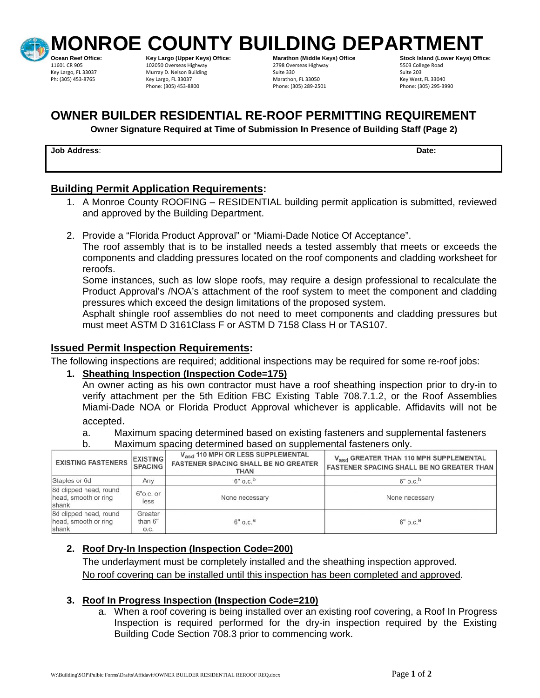

Phone: (305) 453-8800

**Ocean Reef Office: Key Largo (Upper Keys) Office: Marathon (Middle Keys) Office Stock Island (Lower Reys) Office**<br>1999 11601 CR 905 102050 Overseas Highway 2798 Overseas Highway 2798 Overseas Highway 11601 CR 905 102050 Overseas Highway 11601 CR 905 1601 CR 905 1601 CR 905 1601 CR 905 1601 C<br>
11601 CR 905 16905 102050 Overseas Highway 16020 16020 16030 16020 16020 16020 160<br> Key Largo, FL 33037 Murray D. Nelson Building Suite 330 Suite 203 Phone: (305) 889-2501 Key West, FL 33040<br>Phone: (305) 289-2501 Key West, FL 3305-3990

MONROE COUNTY BUILDING DEPARTMENT<br>Ocean Reef Office: **And a struct of the set of fice:** Keys) office:

# **OWNER BUILDER RESIDENTIAL RE-ROOF PERMITTING REQUIREMENT**

**Owner Signature Required at Time of Submission In Presence of Building Staff (Page 2)** 

#### **Job Address**: **Date:**

# **Building Permit Application Requirements:**

- 1. A Monroe County ROOFING RESIDENTIAL building permit application is submitted, reviewed and approved by the Building Department.
- 2. Provide a "Florida Product Approval" or "Miami-Dade Notice Of Acceptance".

The roof assembly that is to be installed needs a tested assembly that meets or exceeds the components and cladding pressures located on the roof components and cladding worksheet for reroofs.

Some instances, such as low slope roofs, may require a design professional to recalculate the Product Approval's /NOA's attachment of the roof system to meet the component and cladding pressures which exceed the design limitations of the proposed system.

Asphalt shingle roof assemblies do not need to meet components and cladding pressures but must meet ASTM D 3161Class F or ASTM D 7158 Class H or TAS107.

## **Issued Permit Inspection Requirements:**

The following inspections are required; additional inspections may be required for some re-roof jobs:

#### **1. Sheathing Inspection (Inspection Code=175)**

An owner acting as his own contractor must have a roof sheathing inspection prior to dry-in to verify attachment per the 5th Edition FBC Existing Table 708.7.1.2, or the Roof Assemblies Miami-Dade NOA or Florida Product Approval whichever is applicable. Affidavits will not be

accepted.<br>a. Maximum spacing determined based on existing fasteners and supplemental fasteners

b. Maximum spacing determined based on supplemental fasteners only.

| <b>EXISTING FASTENERS</b>                               | <b>EXISTING</b><br><b>SPACING</b> | V <sub>asd</sub> 110 MPH OR LESS SUPPLEMENTAL<br><b>FASTENER SPACING SHALL BE NO GREATER</b><br><b>THAN</b> | V <sub>asd</sub> GREATER THAN 110 MPH SUPPLEMENTAL<br><b>FASTENER SPACING SHALL BE NO GREATER THAN</b> |
|---------------------------------------------------------|-----------------------------------|-------------------------------------------------------------------------------------------------------------|--------------------------------------------------------------------------------------------------------|
| Staples or 6d                                           | Any                               | $6"$ o.c. <sup>b</sup>                                                                                      | $6"$ o.c. <sup>b</sup>                                                                                 |
| 8d clipped head, round<br>head, smooth or ring<br>shank | $6"$ o.c. or<br>less              | None necessary                                                                                              | None necessary                                                                                         |
| 8d clipped head, round<br>head, smooth or ring<br>shank | Greater<br>than 6"<br>O.C.        | $6"$ o.c. <sup>a</sup>                                                                                      | $6"$ o.c. <sup>a</sup>                                                                                 |

#### **2. Roof Dry-In Inspection (Inspection Code=200)**

The underlayment must be completely installed and the sheathing inspection approved. No roof covering can be installed until this inspection has been completed and approved.

#### **3. Roof In Progress Inspection (Inspection Code=210)**

a. When a roof covering is being installed over an existing roof covering, a Roof In Progress Inspection is required performed for the dry-in inspection required by the Existing Building Code Section 708.3 prior to commencing work.